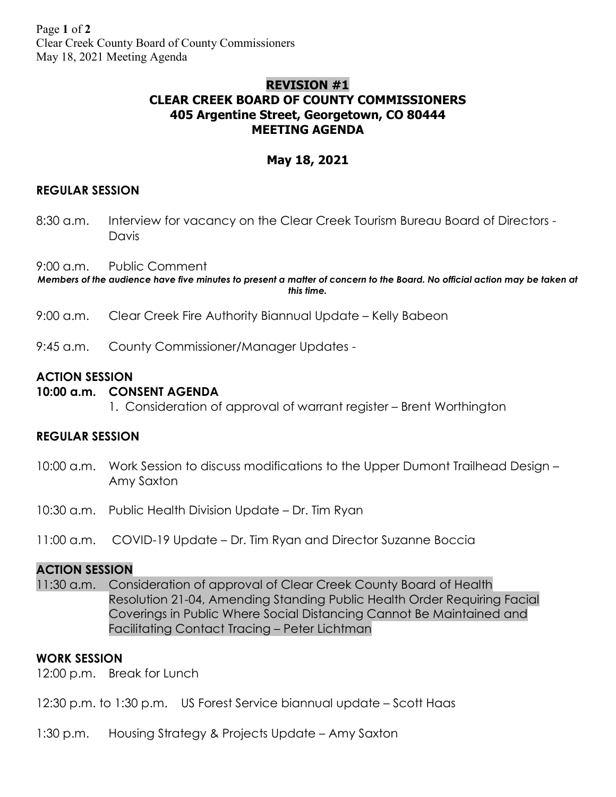# **REVISION #1 CLEAR CREEK BOARD OF COUNTY COMMISSIONERS 405 Argentine Street, Georgetown, CO 80444 MEETING AGENDA**

# **May 18, 2021**

## **REGULAR SESSION**

8:30 a.m. Interview for vacancy on the Clear Creek Tourism Bureau Board of Directors - Davis

9:00 a.m. Public Comment

*Members of the audience have five minutes to present a matter of concern to the Board. No official action may be taken at this time.*

- 9:00 a.m. Clear Creek Fire Authority Biannual Update Kelly Babeon
- 9:45 a.m. County Commissioner/Manager Updates -

## **ACTION SESSION**

### **10:00 a.m. CONSENT AGENDA**

1. Consideration of approval of warrant register – Brent Worthington

#### **REGULAR SESSION**

- 10:00 a.m. Work Session to discuss modifications to the Upper Dumont Trailhead Design Amy Saxton
- 10:30 a.m. Public Health Division Update Dr. Tim Ryan
- 11:00 a.m. COVID-19 Update Dr. Tim Ryan and Director Suzanne Boccia

### **ACTION SESSION**

11:30 a.m. Consideration of approval of Clear Creek County Board of Health Resolution 21-04, Amending Standing Public Health Order Requiring Facial Coverings in Public Where Social Distancing Cannot Be Maintained and Facilitating Contact Tracing – Peter Lichtman

#### **WORK SESSION**

12:00 p.m. Break for Lunch

- 12:30 p.m. to 1:30 p.m. US Forest Service biannual update Scott Haas
- 1:30 p.m. Housing Strategy & Projects Update Amy Saxton